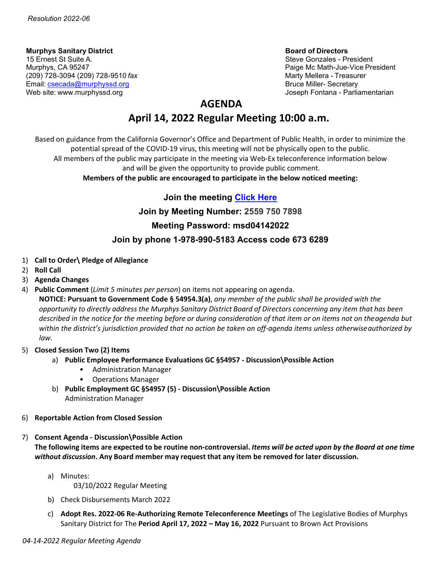**Murphys Sanitary District Board of Directors** 15 Ernest St Suite A. Steve Gonzales - President Alexander Steve Gonzales - President Alexander Steve Gonzales<br>Murphys, CA 95247 (209) 728-3094 (209) 728-9510 *fax* Marty Mellera - Treasurer Email: [csecada@murphyssd.org](mailto:csecada@murphyssd.org) Bruce Miller- Secretary Bruce Miller- Secretary Web site: [www.murphyssd.org](http://www.murphyssd.org/) and a state of the state of the state of the state of the state of the state of the state of the state of the state of the state of the state of the state of the state of the state of the state

Paige Mc Math-Jue-Vice President

# **AGENDA**

# **April 14, 2022 Regular Meeting 10:00 a.m.**

Based on guidance from the California Governor's Office and Department of Public Health, in order to minimize the potential spread of the COVID-19 virus, this meeting will not be physically open to the public. All members of the public may participate in the meeting via Web-Ex teleconference information below

and will be given the opportunity to provide public comment.

**Members of the public are encouraged to participate in the below noticed meeting:**

# **Join the meeting [Click Here](https://murphyssanitarydistrict.my.webex.com/murphyssanitarydistrict.my/j.php?MTID=me4ed939c841c7b1168c8338f915c4d58)**

**Join by Meeting Number: 2559 750 7898**

# **Meeting Password: msd04142022**

# **Join by phone 1-978-990-5183 Access code 673 6289**

- 1) **Call to Order\ Pledge of Allegiance**
- 2) **Roll Call**
- 3) **Agenda Changes**
- 4) **Public Comment** (*Limit 5 minutes per person*) on items not appearing on agenda.

**NOTICE: Pursuant to Government Code § 54954.3(a)**, *any member of the public shall be provided with the* opportunity to directly address the Murphys Sanitary District Board of Directors concerning any item that has been *described in the notice for the meeting before or during consideration of that item or on items not on theagenda but within the district's jurisdiction provided that no action be taken on off-agenda items unless otherwiseauthorized by law.*

- 5) **Closed Session Two (2) Items**
	- a) **Public Employee Performance Evaluations GC §54957 - Discussion\Possible Action** 
		- Administration Manager
		- Operations Manager
	- b) **Public Employment GC §54957 (5) - Discussion\Possible Action**  Administration Manager
- 6) **Reportable Action from Closed Session**
- 7) **Consent Agenda - Discussion\Possible Action** The following items are expected to be routine non-controversial. Items will be acted upon by the Board at one time *without discussion***. Any Board member may request that any item be removed for later discussion.**
	- a) Minutes: 03/10/2022 Regular Meeting
	- b) Check Disbursements March 2022
	- c) **Adopt Res. 2022-06 Re-Authorizing Remote Teleconference Meetings** of The Legislative Bodies of Murphys Sanitary District for The **Period April 17, 2022 – May 16, 2022** Pursuant to Brown Act Provisions